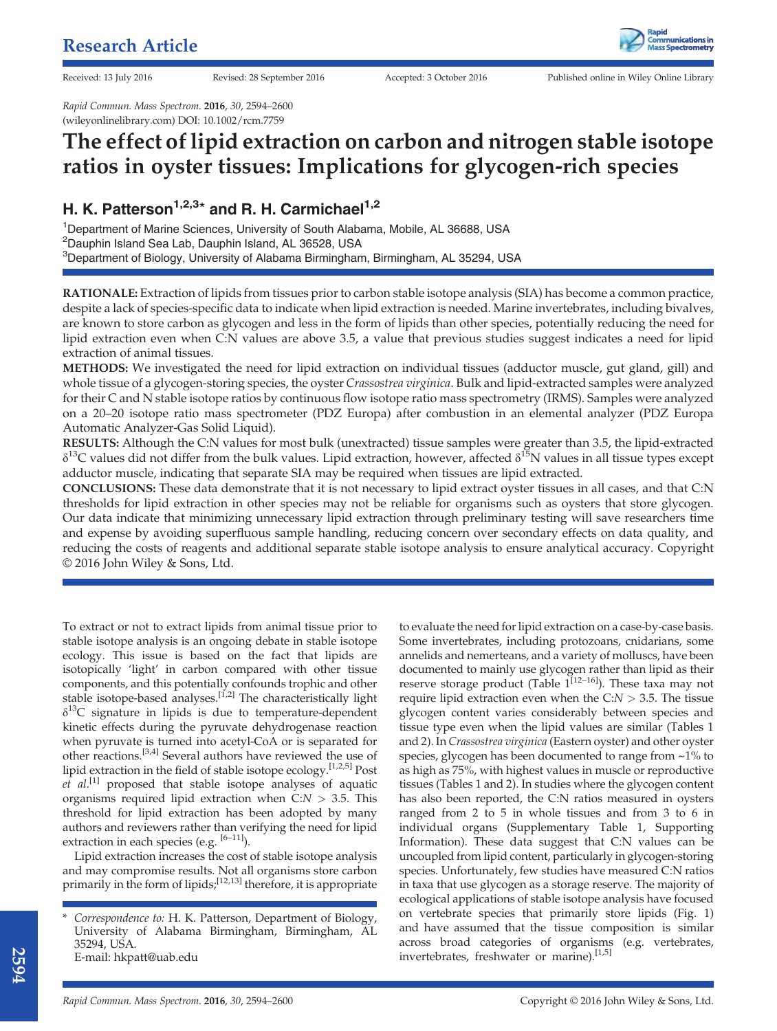Rapid Commun. Mass Spectrom. 2016, 30, 2594–2600 (wileyonlinelibrary.com) DOI: 10.1002/rcm.7759

# The effect of lipid extraction on carbon and nitrogen stable isotope ratios in oyster tissues: Implications for glycogen-rich species

## H. K. Patterson<sup>1,2,3\*</sup> and R. H. Carmichael<sup>1,2</sup>

<sup>1</sup>Department of Marine Sciences, University of South Alabama, Mobile, AL 36688, USA <sup>2</sup>Dauphin Island Sea Lab, Dauphin Island, AL 36528, USA 3 Department of Biology, University of Alabama Birmingham, Birmingham, AL 35294, USA

RATIONALE: Extraction of lipids from tissues prior to carbon stable isotope analysis (SIA) has become a common practice, despite a lack of species-specific data to indicate when lipid extraction is needed. Marine invertebrates, including bivalves, are known to store carbon as glycogen and less in the form of lipids than other species, potentially reducing the need for lipid extraction even when C:N values are above 3.5, a value that previous studies suggest indicates a need for lipid extraction of animal tissues.

METHODS: We investigated the need for lipid extraction on individual tissues (adductor muscle, gut gland, gill) and whole tissue of a glycogen-storing species, the oyster Crassostrea virginica. Bulk and lipid-extracted samples were analyzed for their C and N stable isotope ratios by continuous flow isotope ratio mass spectrometry (IRMS). Samples were analyzed on a 20–20 isotope ratio mass spectrometer (PDZ Europa) after combustion in an elemental analyzer (PDZ Europa Automatic Analyzer-Gas Solid Liquid).

RESULTS: Although the C:N values for most bulk (unextracted) tissue samples were greater than 3.5, the lipid-extracted  $\delta^{13}$ C values did not differ from the bulk values. Lipid extraction, however, affected  $\delta^{15}$ N values in all tissue types except adductor muscle, indicating that separate SIA may be required when tissues are lipid extracted.

CONCLUSIONS: These data demonstrate that it is not necessary to lipid extract oyster tissues in all cases, and that C:N thresholds for lipid extraction in other species may not be reliable for organisms such as oysters that store glycogen. Our data indicate that minimizing unnecessary lipid extraction through preliminary testing will save researchers time and expense by avoiding superfluous sample handling, reducing concern over secondary effects on data quality, and reducing the costs of reagents and additional separate stable isotope analysis to ensure analytical accuracy. Copyright © 2016 John Wiley & Sons, Ltd.

To extract or not to extract lipids from animal tissue prior to stable isotope analysis is an ongoing debate in stable isotope ecology. This issue is based on the fact that lipids are isotopically 'light' in carbon compared with other tissue components, and this potentially confounds trophic and other stable isotope-based analyses.<sup>[1,2]</sup> The characteristically light  $\delta^{13}$ C signature in lipids is due to temperature-dependent kinetic effects during the pyruvate dehydrogenase reaction when pyruvate is turned into acetyl-CoA or is separated for other reactions.[3,4] Several authors have reviewed the use of lipid extraction in the field of stable isotope ecology. $[1,2,5]$  Post et al.<sup>[1]</sup> proposed that stable isotope analyses of aquatic organisms required lipid extraction when  $C:N > 3.5$ . This threshold for lipid extraction has been adopted by many authors and reviewers rather than verifying the need for lipid extraction in each species (e.g.  $[6-11]$ ).

Lipid extraction increases the cost of stable isotope analysis and may compromise results. Not all organisms store carbon primarily in the form of lipids;[12,13] therefore, it is appropriate to evaluate the need for lipid extraction on a case-by-case basis. Some invertebrates, including protozoans, cnidarians, some annelids and nemerteans, and a variety of molluscs, have been documented to mainly use glycogen rather than lipid as their reserve storage product (Table  $1^{[12-16]}$ ). These taxa may not require lipid extraction even when the  $C:N > 3.5$ . The tissue glycogen content varies considerably between species and tissue type even when the lipid values are similar (Tables 1 and 2). In Crassostrea virginica (Eastern oyster) and other oyster species, glycogen has been documented to range from ~1% to as high as 75%, with highest values in muscle or reproductive tissues (Tables 1 and 2). In studies where the glycogen content has also been reported, the C:N ratios measured in oysters ranged from 2 to 5 in whole tissues and from 3 to 6 in individual organs (Supplementary Table 1, Supporting Information). These data suggest that C:N values can be uncoupled from lipid content, particularly in glycogen-storing species. Unfortunately, few studies have measured C:N ratios in taxa that use glycogen as a storage reserve. The majority of ecological applications of stable isotope analysis have focused on vertebrate species that primarily store lipids (Fig. 1) and have assumed that the tissue composition is similar across broad categories of organisms (e.g. vertebrates, invertebrates, freshwater or marine).<sup>[1,5]</sup>

Correspondence to: H. K. Patterson, Department of Biology, University of Alabama Birmingham, Birmingham, AL 35294, USA. E-mail: hkpatt@uab.edu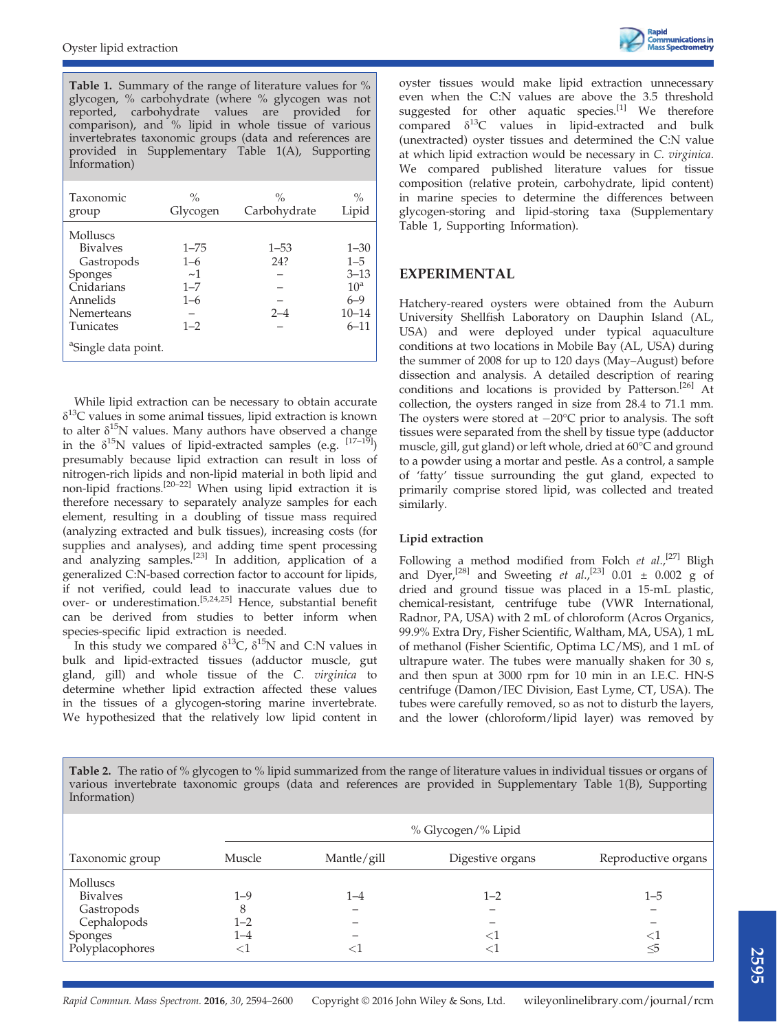Table 1. Summary of the range of literature values for % glycogen, % carbohydrate (where % glycogen was not reported, carbohydrate values are provided for comparison), and % lipid in whole tissue of various invertebrates taxonomic groups (data and references are provided in Supplementary Table 1(A), Supporting Information)

| <b>Taxonomic</b><br>group       | %<br>Glycogen | $\frac{0}{0}$<br>Carbohydrate | $\frac{0}{0}$<br>Lipid |
|---------------------------------|---------------|-------------------------------|------------------------|
| Molluscs                        |               |                               |                        |
| <b>Bivalves</b>                 | $1 - 75$      | $1 - 53$                      | $1 - 30$               |
| Gastropods                      | $1 - 6$       | 24?                           | $1 - 5$                |
| Sponges                         | ~1            |                               | $3 - 13$               |
| Cnidarians                      | $1 - 7$       |                               | 10 <sup>a</sup>        |
| Annelids                        | $1 - 6$       |                               | $6 - 9$                |
| Nemerteans                      |               | $2 - 4$                       | $10 - 14$              |
| Tunicates                       | $1 - 2$       |                               | $6 - 11$               |
| <sup>a</sup> Single data point. |               |                               |                        |

While lipid extraction can be necessary to obtain accurate  $\delta^{13}$ C values in some animal tissues, lipid extraction is known to alter  $\delta^{15}N$  values. Many authors have observed a change in the  $\delta^{15}N$  values of lipid-extracted samples (e.g.  $[17-19]$ ) presumably because lipid extraction can result in loss of nitrogen-rich lipids and non-lipid material in both lipid and non-lipid fractions.<sup>[20–22]</sup> When using lipid extraction it is therefore necessary to separately analyze samples for each element, resulting in a doubling of tissue mass required (analyzing extracted and bulk tissues), increasing costs (for supplies and analyses), and adding time spent processing and analyzing samples.[23] In addition, application of a generalized C:N-based correction factor to account for lipids, if not verified, could lead to inaccurate values due to over- or underestimation.[5,24,25] Hence, substantial benefit can be derived from studies to better inform when species-specific lipid extraction is needed.

In this study we compared  $\delta^{13}C$ ,  $\delta^{15}N$  and C:N values in bulk and lipid-extracted tissues (adductor muscle, gut gland, gill) and whole tissue of the C. virginica to determine whether lipid extraction affected these values in the tissues of a glycogen-storing marine invertebrate. We hypothesized that the relatively low lipid content in



oyster tissues would make lipid extraction unnecessary even when the C:N values are above the 3.5 threshold suggested for other aquatic species.<sup>[1]</sup> We therefore compared  $\delta^{13}C$  values in lipid-extracted and bulk (unextracted) oyster tissues and determined the C:N value at which lipid extraction would be necessary in C. virginica. We compared published literature values for tissue composition (relative protein, carbohydrate, lipid content) in marine species to determine the differences between glycogen-storing and lipid-storing taxa (Supplementary Table 1, Supporting Information).

## EXPERIMENTAL

Hatchery-reared oysters were obtained from the Auburn University Shellfish Laboratory on Dauphin Island (AL, USA) and were deployed under typical aquaculture conditions at two locations in Mobile Bay (AL, USA) during the summer of 2008 for up to 120 days (May–August) before dissection and analysis. A detailed description of rearing conditions and locations is provided by Patterson.<sup>[26]</sup> At collection, the oysters ranged in size from 28.4 to 71.1 mm. The oysters were stored at  $-20^{\circ}$ C prior to analysis. The soft tissues were separated from the shell by tissue type (adductor muscle, gill, gut gland) or left whole, dried at 60°C and ground to a powder using a mortar and pestle. As a control, a sample of 'fatty' tissue surrounding the gut gland, expected to primarily comprise stored lipid, was collected and treated similarly.

#### Lipid extraction

Following a method modified from Folch et  $al$ ,<sup>[27]</sup> Bligh and Dyer,<sup>[28]</sup> and Sweeting et al.,<sup>[23]</sup> 0.01  $\pm$  0.002 g of dried and ground tissue was placed in a 15-mL plastic, chemical-resistant, centrifuge tube (VWR International, Radnor, PA, USA) with 2 mL of chloroform (Acros Organics, 99.9% Extra Dry, Fisher Scientific, Waltham, MA, USA), 1 mL of methanol (Fisher Scientific, Optima LC/MS), and 1 mL of ultrapure water. The tubes were manually shaken for 30 s, and then spun at 3000 rpm for 10 min in an I.E.C. HN-S centrifuge (Damon/IEC Division, East Lyme, CT, USA). The tubes were carefully removed, so as not to disturb the layers, and the lower (chloroform/lipid layer) was removed by

Table 2. The ratio of % glycogen to % lipid summarized from the range of literature values in individual tissues or organs of various invertebrate taxonomic groups (data and references are provided in Supplementary Table 1(B), Supporting Information)

|                             |         | % Glycogen/% Lipid |                  |                     |  |
|-----------------------------|---------|--------------------|------------------|---------------------|--|
| Taxonomic group             | Muscle  | Mantle/gill        | Digestive organs | Reproductive organs |  |
| Molluscs<br><b>Bivalves</b> | 1–9     | 1–4                | $1 - 2$          | $1 - 5$             |  |
| Gastropods                  | 8       |                    |                  | -                   |  |
| Cephalopods                 | $1 - 2$ |                    | -                |                     |  |
| Sponges                     | 1–4     |                    | ${<}1$           | $\leq$              |  |
| Polyplacophores             | $<$ 1   |                    | $\leq$ T         | $\leq 5$            |  |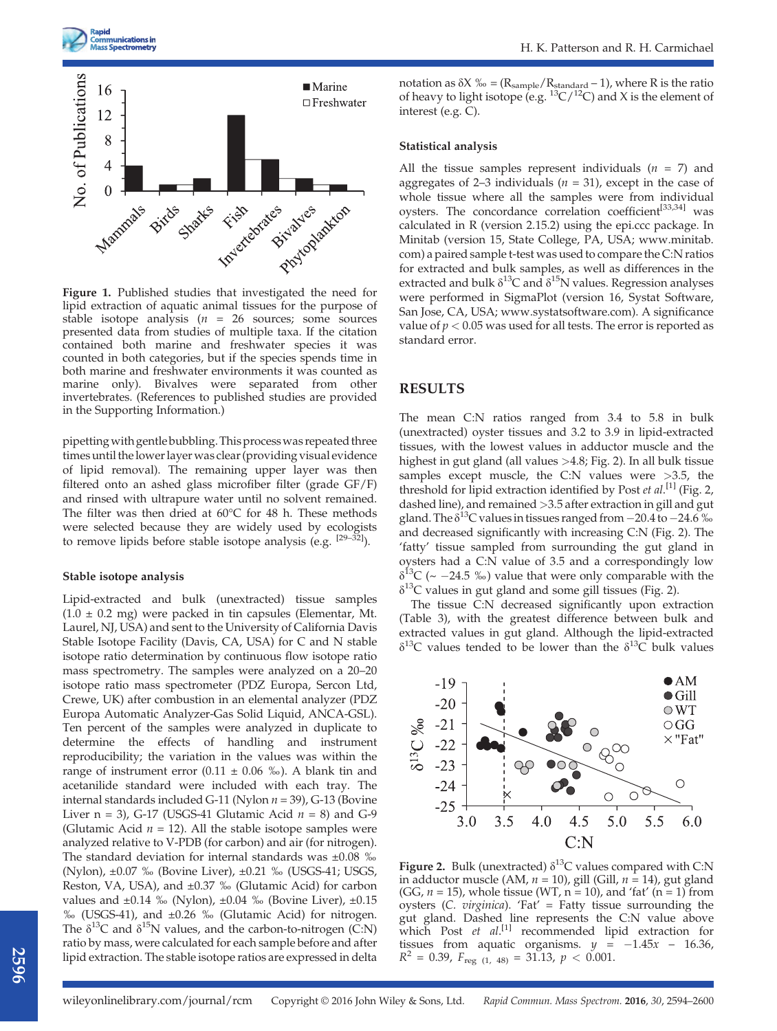

Figure 1. Published studies that investigated the need for lipid extraction of aquatic animal tissues for the purpose of stable isotope analysis ( $n = 26$  sources; some sources presented data from studies of multiple taxa. If the citation contained both marine and freshwater species it was counted in both categories, but if the species spends time in both marine and freshwater environments it was counted as marine only). Bivalves were separated from other invertebrates. (References to published studies are provided in the Supporting Information.)

pipettingwith gentle bubbling. This processwas repeated three times until the lower layer was clear (providing visual evidence of lipid removal). The remaining upper layer was then filtered onto an ashed glass microfiber filter (grade GF/F) and rinsed with ultrapure water until no solvent remained. The filter was then dried at 60°C for 48 h. These methods were selected because they are widely used by ecologists to remove lipids before stable isotope analysis (e.g.  $[29-32]$ ).

#### Stable isotope analysis

Lipid-extracted and bulk (unextracted) tissue samples  $(1.0 \pm 0.2 \text{ mg})$  were packed in tin capsules (Elementar, Mt. Laurel, NJ, USA) and sent to the University of California Davis Stable Isotope Facility (Davis, CA, USA) for C and N stable isotope ratio determination by continuous flow isotope ratio mass spectrometry. The samples were analyzed on a 20–20 isotope ratio mass spectrometer (PDZ Europa, Sercon Ltd, Crewe, UK) after combustion in an elemental analyzer (PDZ Europa Automatic Analyzer-Gas Solid Liquid, ANCA-GSL). Ten percent of the samples were analyzed in duplicate to determine the effects of handling and instrument reproducibility; the variation in the values was within the range of instrument error (0.11  $\pm$  0.06 ‰). A blank tin and acetanilide standard were included with each tray. The internal standards included G-11 (Nylon  $n = 39$ ), G-13 (Bovine Liver  $n = 3$ , G-17 (USGS-41 Glutamic Acid  $n = 8$ ) and G-9 (Glutamic Acid  $n = 12$ ). All the stable isotope samples were analyzed relative to V-PDB (for carbon) and air (for nitrogen). The standard deviation for internal standards was ±0.08 ‰ (Nylon), ±0.07 ‰ (Bovine Liver), ±0.21 ‰ (USGS-41; USGS, Reston, VA, USA), and ±0.37 ‰ (Glutamic Acid) for carbon values and  $\pm 0.14$  ‰ (Nylon),  $\pm 0.04$  ‰ (Bovine Liver),  $\pm 0.15$ ‰ (USGS-41), and ±0.26 ‰ (Glutamic Acid) for nitrogen. The  $\delta^{13}$ C and  $\delta^{15}$ N values, and the carbon-to-nitrogen (C:N) ratio by mass, were calculated for each sample before and after lipid extraction. The stable isotope ratios are expressed in delta notation as  $\delta X$  ‰ = ( $R_{sample}/R_{standard} - 1$ ), where R is the ratio of heavy to light isotope (e.g.  ${}^{13}C/{}^{12}C$ ) and X is the element of interest (e.g. C).

#### Statistical analysis

All the tissue samples represent individuals  $(n = 7)$  and aggregates of 2–3 individuals ( $n = 31$ ), except in the case of whole tissue where all the samples were from individual oysters. The concordance correlation coefficient<sup>[33,34]</sup> was calculated in R (version 2.15.2) using the epi.ccc package. In Minitab (version 15, State College, PA, USA; [www.minitab.](http://www.minitab.com) [com\)](http://www.minitab.com) a paired sample t-test was used to compare the C:N ratios for extracted and bulk samples, as well as differences in the extracted and bulk  $\delta^{13}C$  and  $\delta^{15}N$  values. Regression analyses were performed in SigmaPlot (version 16, Systat Software, San Jose, CA, USA; [www.systatsoftware.com](http://www.systatsoftware.com)). A significance value of  $p < 0.05$  was used for all tests. The error is reported as standard error.

#### RESULTS

The mean C:N ratios ranged from 3.4 to 5.8 in bulk (unextracted) oyster tissues and 3.2 to 3.9 in lipid-extracted tissues, with the lowest values in adductor muscle and the highest in gut gland (all values >4.8; Fig. 2). In all bulk tissue samples except muscle, the C:N values were >3.5, the threshold for lipid extraction identified by Post et  $al$ .<sup>[1]</sup> (Fig. 2, dashed line), and remained >3.5 after extraction in gill and gut gland. The  $\delta^{13}$ C values in tissues ranged from  $-20.4$  to  $-24.6$  ‰ and decreased significantly with increasing C:N (Fig. 2). The 'fatty' tissue sampled from surrounding the gut gland in oysters had a C:N value of 3.5 and a correspondingly low  $\delta^{13}$ C (~ -24.5 ‰) value that were only comparable with the  $\delta^{13}$ C values in gut gland and some gill tissues (Fig. 2).

The tissue C:N decreased significantly upon extraction (Table 3), with the greatest difference between bulk and extracted values in gut gland. Although the lipid-extracted  $\delta^{13}$ C values tended to be lower than the  $\delta^{13}$ C bulk values



**Figure 2.** Bulk (unextracted)  $\delta^{13}$ C values compared with C:N in adductor muscle (AM,  $n = 10$ ), gill (Gill,  $n = 14$ ), gut gland (GG,  $n = 15$ ), whole tissue (WT,  $n = 10$ ), and 'fat' ( $n = 1$ ) from oysters (C. virginica). 'Fat' = Fatty tissue surrounding the gut gland. Dashed line represents the C:N value above which Post et al.<sup>[1]</sup> recommended lipid extraction for tissues from aquatic organisms.  $y = -1.45x - 16.36$ ,  $R^2 = 0.39$ ,  $F_{reg (1, 48)} = 31.13$ ,  $p < 0.001$ .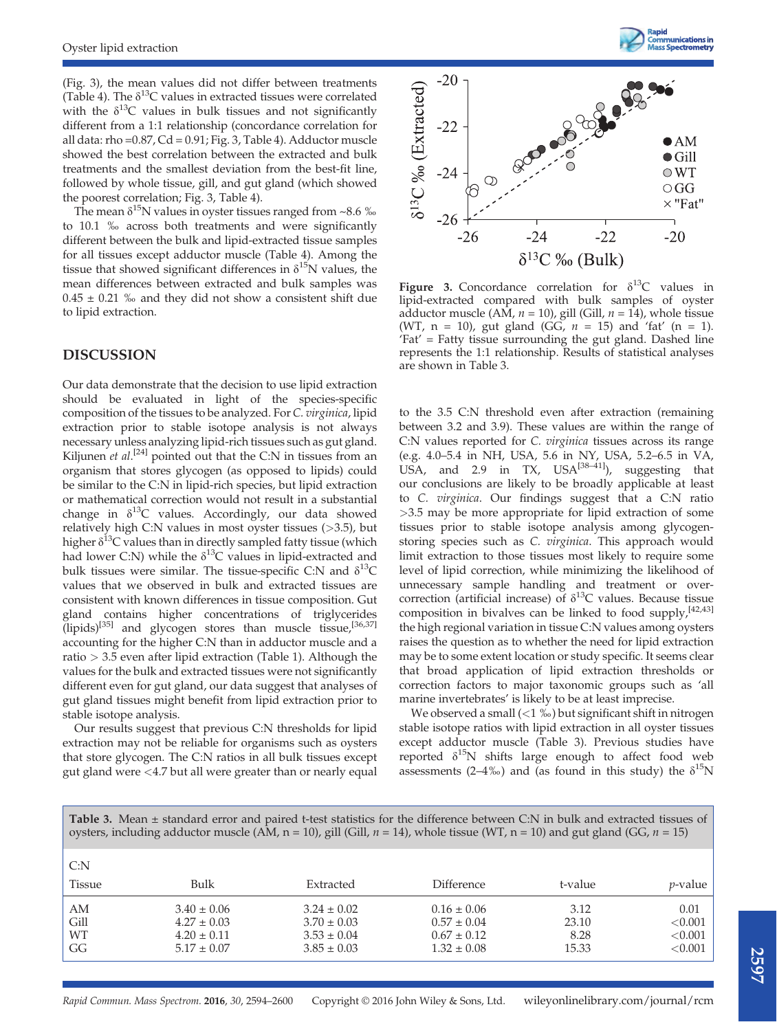(Fig. 3), the mean values did not differ between treatments (Table 4). The  $\delta^{13}$ C values in extracted tissues were correlated with the  $\delta^{13}$ C values in bulk tissues and not significantly different from a 1:1 relationship (concordance correlation for all data:  $rho = 0.87$ ,  $Cd = 0.91$ ; Fig. 3, Table 4). Adductor muscle showed the best correlation between the extracted and bulk treatments and the smallest deviation from the best-fit line, followed by whole tissue, gill, and gut gland (which showed the poorest correlation; Fig. 3, Table 4).

The mean  $\delta^{15}N$  values in oyster tissues ranged from ~8.6 ‰ to 10.1 ‰ across both treatments and were significantly different between the bulk and lipid-extracted tissue samples for all tissues except adductor muscle (Table 4). Among the tissue that showed significant differences in  $\delta^{15}N$  values, the mean differences between extracted and bulk samples was  $0.45 \pm 0.21$  ‰ and they did not show a consistent shift due to lipid extraction.

### DISCUSSION

Our data demonstrate that the decision to use lipid extraction should be evaluated in light of the species-specific composition of the tissues to be analyzed. For C. virginica, lipid extraction prior to stable isotope analysis is not always necessary unless analyzing lipid-rich tissues such as gut gland. Kiljunen et al.<sup>[24]</sup> pointed out that the C:N in tissues from an organism that stores glycogen (as opposed to lipids) could be similar to the C:N in lipid-rich species, but lipid extraction or mathematical correction would not result in a substantial change in  $\delta^{13}C$  values. Accordingly, our data showed relatively high C:N values in most oyster tissues (>3.5), but higher  $\delta^{13}$ C values than in directly sampled fatty tissue (which had lower C:N) while the  $\delta^{13}$ C values in lipid-extracted and bulk tissues were similar. The tissue-specific C:N and  $\delta^{13}C$ values that we observed in bulk and extracted tissues are consistent with known differences in tissue composition. Gut gland contains higher concentrations of triglycerides (lipids)<sup>[35]</sup> and glycogen stores than muscle tissue,<sup>[36,37]</sup> accounting for the higher C:N than in adductor muscle and a ratio > 3.5 even after lipid extraction (Table 1). Although the values for the bulk and extracted tissues were not significantly different even for gut gland, our data suggest that analyses of gut gland tissues might benefit from lipid extraction prior to stable isotope analysis.

Our results suggest that previous C:N thresholds for lipid extraction may not be reliable for organisms such as oysters that store glycogen. The C:N ratios in all bulk tissues except gut gland were <4.7 but all were greater than or nearly equal



Figure 3. Concordance correlation for  $\delta^{13}$ C values in lipid-extracted compared with bulk samples of oyster adductor muscle (AM,  $n = 10$ ), gill (Gill,  $n = 14$ ), whole tissue (WT,  $n = 10$ ), gut gland (GG,  $n = 15$ ) and 'fat' (n = 1). 'Fat' = Fatty tissue surrounding the gut gland. Dashed line represents the 1:1 relationship. Results of statistical analyses are shown in Table 3.

to the 3.5 C:N threshold even after extraction (remaining between 3.2 and 3.9). These values are within the range of C:N values reported for C. virginica tissues across its range (e.g. 4.0–5.4 in NH, USA, 5.6 in NY, USA, 5.2–6.5 in VA, USA, and 2.9 in TX, USA<sup>[38-41]</sup>), suggesting that our conclusions are likely to be broadly applicable at least to C. virginica. Our findings suggest that a C:N ratio >3.5 may be more appropriate for lipid extraction of some tissues prior to stable isotope analysis among glycogenstoring species such as C. virginica. This approach would limit extraction to those tissues most likely to require some level of lipid correction, while minimizing the likelihood of unnecessary sample handling and treatment or overcorrection (artificial increase) of  $\delta^{13}$ C values. Because tissue composition in bivalves can be linked to food supply,[42,43] the high regional variation in tissue C:N values among oysters raises the question as to whether the need for lipid extraction may be to some extent location or study specific. It seems clear that broad application of lipid extraction thresholds or correction factors to major taxonomic groups such as 'all marine invertebrates' is likely to be at least imprecise.

We observed a small  $\left($  < 1 % but significant shift in nitrogen stable isotope ratios with lipid extraction in all oyster tissues except adductor muscle (Table 3). Previous studies have reported  $\delta^{15}$ N shifts large enough to affect food web assessments (2–4‰) and (as found in this study) the  $\delta^{15}N$ 

| Table 3. Mean ± standard error and paired t-test statistics for the difference between C:N in bulk and extracted tissues of<br>ovsters, including adductor muscle (AM, $n = 10$ ), gill (Gill, $n = 14$ ), whole tissue (WT, $n = 10$ ) and gut gland (GG, $n = 15$ ) |                                                                          |                                                                          |                                                                          |                                |                                       |
|-----------------------------------------------------------------------------------------------------------------------------------------------------------------------------------------------------------------------------------------------------------------------|--------------------------------------------------------------------------|--------------------------------------------------------------------------|--------------------------------------------------------------------------|--------------------------------|---------------------------------------|
| C: N<br><b>Tissue</b>                                                                                                                                                                                                                                                 | Bulk                                                                     | Extracted                                                                | Difference                                                               | t-value                        | <i>p</i> -value                       |
| AM<br>Gill<br>WT<br>GG                                                                                                                                                                                                                                                | $3.40 \pm 0.06$<br>$4.27 \pm 0.03$<br>$4.20 \pm 0.11$<br>$5.17 \pm 0.07$ | $3.24 \pm 0.02$<br>$3.70 \pm 0.03$<br>$3.53 \pm 0.04$<br>$3.85 \pm 0.03$ | $0.16 \pm 0.06$<br>$0.57 \pm 0.04$<br>$0.67 \pm 0.12$<br>$1.32 \pm 0.08$ | 3.12<br>23.10<br>8.28<br>15.33 | 0.01<br>< 0.001<br>< 0.001<br>< 0.001 |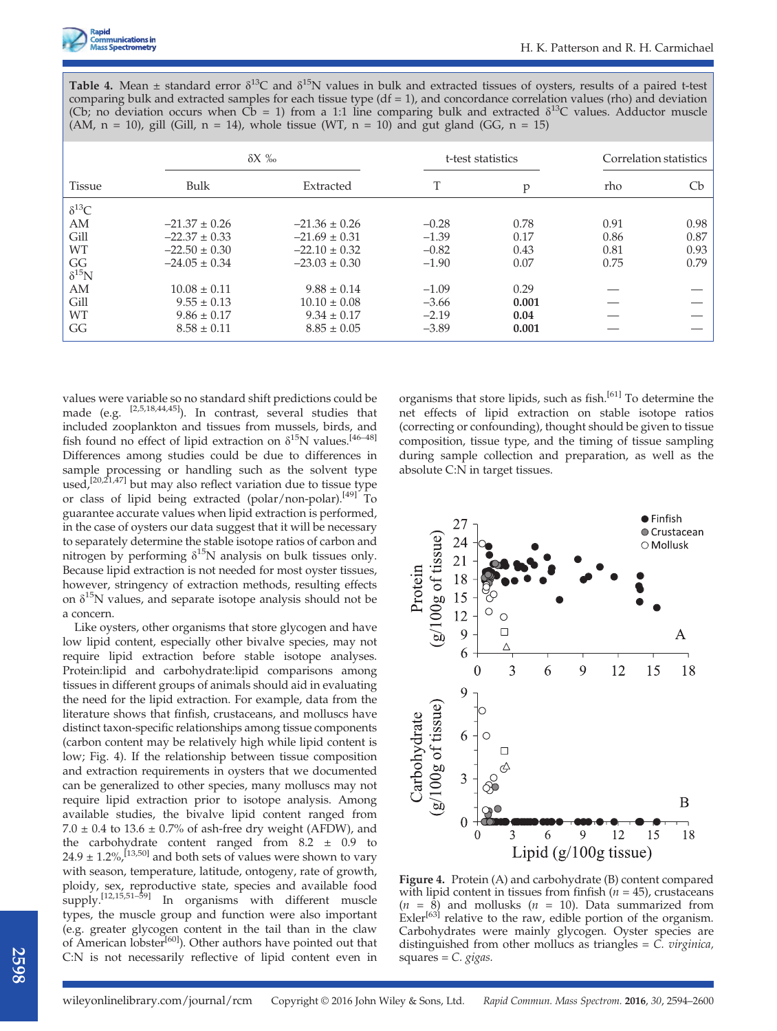

Table 4. Mean  $\pm$  standard error  $\delta^{13}C$  and  $\delta^{15}N$  values in bulk and extracted tissues of oysters, results of a paired t-test comparing bulk and extracted samples for each tissue type  $(df = 1)$ , and concordance correlation values (rho) and deviation (Cb; no deviation occurs when Cb = 1) from a 1:1 line comparing bulk and extracted  $\delta^{13}$ C values. Adductor muscle (AM,  $n = 10$ ), gill (Gill,  $n = 14$ ), whole tissue (WT,  $n = 10$ ) and gut gland (GG,  $n = 15$ )

|                |                   | $\delta X\%$      |         | t-test statistics |      | Correlation statistics |  |
|----------------|-------------------|-------------------|---------|-------------------|------|------------------------|--|
| <b>Tissue</b>  | Bulk              | Extracted         |         | p                 | rho  | Cb                     |  |
| $\delta^{13}C$ |                   |                   |         |                   |      |                        |  |
| AM             | $-21.37 \pm 0.26$ | $-21.36 \pm 0.26$ | $-0.28$ | 0.78              | 0.91 | 0.98                   |  |
| Gill           | $-22.37 \pm 0.33$ | $-21.69 \pm 0.31$ | $-1.39$ | 0.17              | 0.86 | 0.87                   |  |
| <b>WT</b>      | $-22.50 \pm 0.30$ | $-22.10 \pm 0.32$ | $-0.82$ | 0.43              | 0.81 | 0.93                   |  |
| GG             | $-24.05 \pm 0.34$ | $-23.03 \pm 0.30$ | $-1.90$ | 0.07              | 0.75 | 0.79                   |  |
| $\delta^{15}N$ |                   |                   |         |                   |      |                        |  |
| AM             | $10.08 \pm 0.11$  | $9.88 \pm 0.14$   | $-1.09$ | 0.29              |      |                        |  |
| Gill           | $9.55 \pm 0.13$   | $10.10 \pm 0.08$  | $-3.66$ | 0.001             |      |                        |  |
| WT             | $9.86 \pm 0.17$   | $9.34 \pm 0.17$   | $-2.19$ | 0.04              |      |                        |  |
| GG             | $8.58 \pm 0.11$   | $8.85 \pm 0.05$   | $-3.89$ | 0.001             |      |                        |  |
|                |                   |                   |         |                   |      |                        |  |

values were variable so no standard shift predictions could be values were valued by the summary star.  $\Gamma$ included zooplankton and tissues from mussels, birds, and fish found no effect of lipid extraction on  $\delta^{15}N$  values.<sup>[46–48]</sup> Differences among studies could be due to differences in sample processing or handling such as the solvent type used,<sup>[20,21,47]</sup> but may also reflect variation due to tissue type or class of lipid being extracted (polar/non-polar).[49] To guarantee accurate values when lipid extraction is performed, in the case of oysters our data suggest that it will be necessary to separately determine the stable isotope ratios of carbon and nitrogen by performing  $\delta^{15}N$  analysis on bulk tissues only. Because lipid extraction is not needed for most oyster tissues, however, stringency of extraction methods, resulting effects on  $\delta^{15}N$  values, and separate isotope analysis should not be a concern.

Like oysters, other organisms that store glycogen and have low lipid content, especially other bivalve species, may not require lipid extraction before stable isotope analyses. Protein:lipid and carbohydrate:lipid comparisons among tissues in different groups of animals should aid in evaluating the need for the lipid extraction. For example, data from the literature shows that finfish, crustaceans, and molluscs have distinct taxon-specific relationships among tissue components (carbon content may be relatively high while lipid content is low; Fig. 4). If the relationship between tissue composition and extraction requirements in oysters that we documented can be generalized to other species, many molluscs may not require lipid extraction prior to isotope analysis. Among available studies, the bivalve lipid content ranged from  $7.0 \pm 0.4$  to  $13.6 \pm 0.7\%$  of ash-free dry weight (AFDW), and the carbohydrate content ranged from 8.2 ± 0.9 to  $24.9 \pm 1.2\%$ ,  $^{[13,50]}$  and both sets of values were shown to vary with season, temperature, latitude, ontogeny, rate of growth, ploidy, sex, reproductive state, species and available food supply.<sup>[12,15,51–59]</sup> In organisms with different muscle types, the muscle group and function were also important (e.g. greater glycogen content in the tail than in the claw of American lobster<sup>[60]</sup>). Other authors have pointed out that C:N is not necessarily reflective of lipid content even in organisms that store lipids, such as fish.[61] To determine the net effects of lipid extraction on stable isotope ratios (correcting or confounding), thought should be given to tissue composition, tissue type, and the timing of tissue sampling during sample collection and preparation, as well as the absolute C:N in target tissues.



Figure 4. Protein (A) and carbohydrate (B) content compared with lipid content in tissues from finfish ( $n = 45$ ), crustaceans (*n* = 8) and mollusks (*n* = 10). Data summarized from Exler<sup>[63]</sup> relative to the raw, edible portion of the organism. Carbohydrates were mainly glycogen. Oyster species are distinguished from other mollucs as triangles  $=$  C. *virginica*, squares  $= C.$  gigas.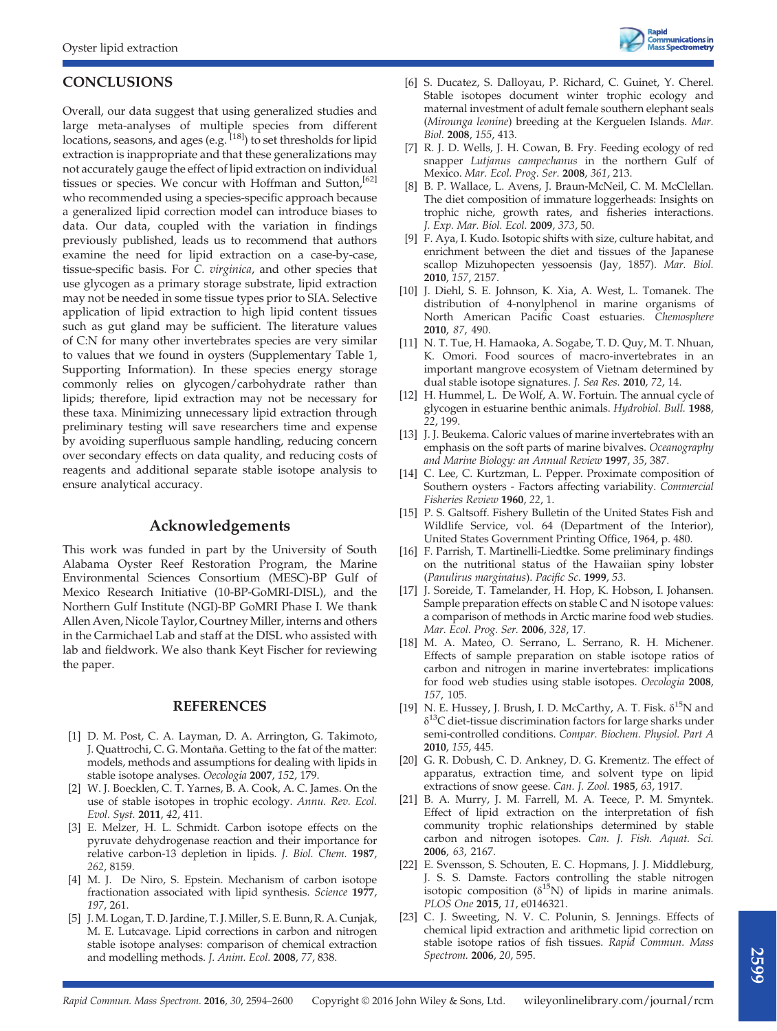## CONCLUSIONS

Overall, our data suggest that using generalized studies and large meta-analyses of multiple species from different locations, seasons, and ages (e.g.  $[18]$ ) to set thresholds for lipid extraction is inappropriate and that these generalizations may not accurately gauge the effect of lipid extraction on individual tissues or species. We concur with Hoffman and Sutton,<sup>[62]</sup> who recommended using a species-specific approach because a generalized lipid correction model can introduce biases to data. Our data, coupled with the variation in findings previously published, leads us to recommend that authors examine the need for lipid extraction on a case-by-case, tissue-specific basis. For C. virginica, and other species that use glycogen as a primary storage substrate, lipid extraction may not be needed in some tissue types prior to SIA. Selective application of lipid extraction to high lipid content tissues such as gut gland may be sufficient. The literature values of C:N for many other invertebrates species are very similar to values that we found in oysters (Supplementary Table 1, Supporting Information). In these species energy storage commonly relies on glycogen/carbohydrate rather than lipids; therefore, lipid extraction may not be necessary for these taxa. Minimizing unnecessary lipid extraction through preliminary testing will save researchers time and expense by avoiding superfluous sample handling, reducing concern over secondary effects on data quality, and reducing costs of reagents and additional separate stable isotope analysis to ensure analytical accuracy.

## Acknowledgements

This work was funded in part by the University of South Alabama Oyster Reef Restoration Program, the Marine Environmental Sciences Consortium (MESC)-BP Gulf of Mexico Research Initiative (10-BP-GoMRI-DISL), and the Northern Gulf Institute (NGI)-BP GoMRI Phase I. We thank Allen Aven, Nicole Taylor, Courtney Miller, interns and others in the Carmichael Lab and staff at the DISL who assisted with lab and fieldwork. We also thank Keyt Fischer for reviewing the paper.

#### REFERENCES

- [1] D. M. Post, C. A. Layman, D. A. Arrington, G. Takimoto, J. Quattrochi, C. G. Montaña. Getting to the fat of the matter: models, methods and assumptions for dealing with lipids in stable isotope analyses. Oecologia 2007, 152, 179.
- [2] W. J. Boecklen, C. T. Yarnes, B. A. Cook, A. C. James. On the use of stable isotopes in trophic ecology. Annu. Rev. Ecol. Evol. Syst. 2011, 42, 411.
- [3] E. Melzer, H. L. Schmidt. Carbon isotope effects on the pyruvate dehydrogenase reaction and their importance for relative carbon-13 depletion in lipids. J. Biol. Chem. 1987, 262, 8159.
- [4] M. J. De Niro, S. Epstein. Mechanism of carbon isotope fractionation associated with lipid synthesis. Science 1977, 197, 261.
- [5] J.M. Logan, T. D. Jardine, T. J.Miller, S. E. Bunn, R. A. Cunjak, M. E. Lutcavage. Lipid corrections in carbon and nitrogen stable isotope analyses: comparison of chemical extraction and modelling methods. J. Anim. Ecol. 2008, 77, 838.



- [6] S. Ducatez, S. Dalloyau, P. Richard, C. Guinet, Y. Cherel. Stable isotopes document winter trophic ecology and maternal investment of adult female southern elephant seals (Mirounga leonine) breeding at the Kerguelen Islands. Mar. Biol. 2008, 155, 413.
- [7] R. J. D. Wells, J. H. Cowan, B. Fry. Feeding ecology of red snapper Lutjanus campechanus in the northern Gulf of Mexico. Mar. Ecol. Prog. Ser. 2008, 361, 213.
- [8] B. P. Wallace, L. Avens, J. Braun-McNeil, C. M. McClellan. The diet composition of immature loggerheads: Insights on trophic niche, growth rates, and fisheries interactions. J. Exp. Mar. Biol. Ecol. 2009, 373, 50.
- [9] F. Aya, I. Kudo. Isotopic shifts with size, culture habitat, and enrichment between the diet and tissues of the Japanese scallop Mizuhopecten yessoensis (Jay, 1857). Mar. Biol. 2010, 157, 2157.
- [10] J. Diehl, S. E. Johnson, K. Xia, A. West, L. Tomanek. The distribution of 4-nonylphenol in marine organisms of North American Pacific Coast estuaries. Chemosphere 2010, 87, 490.
- [11] N. T. Tue, H. Hamaoka, A. Sogabe, T. D. Quy, M. T. Nhuan, K. Omori. Food sources of macro-invertebrates in an important mangrove ecosystem of Vietnam determined by dual stable isotope signatures. J. Sea Res. 2010, 72, 14.
- [12] H. Hummel, L. De Wolf, A. W. Fortuin. The annual cycle of glycogen in estuarine benthic animals. Hydrobiol. Bull. 1988, 22, 199.
- [13] J. J. Beukema. Caloric values of marine invertebrates with an emphasis on the soft parts of marine bivalves. Oceanography and Marine Biology: an Annual Review 1997, 35, 387.
- [14] C. Lee, C. Kurtzman, L. Pepper. Proximate composition of Southern oysters - Factors affecting variability. Commercial Fisheries Review 1960, 22, 1.
- [15] P. S. Galtsoff. Fishery Bulletin of the United States Fish and Wildlife Service, vol. 64 (Department of the Interior), United States Government Printing Office, 1964, p. 480.
- [16] F. Parrish, T. Martinelli-Liedtke. Some preliminary findings on the nutritional status of the Hawaiian spiny lobster (Panulirus marginatus). Pacific Sc. 1999, 53.
- [17] J. Soreide, T. Tamelander, H. Hop, K. Hobson, I. Johansen. Sample preparation effects on stable C and N isotope values: a comparison of methods in Arctic marine food web studies. Mar. Ecol. Prog. Ser. 2006, 328, 17.
- [18] M. A. Mateo, O. Serrano, L. Serrano, R. H. Michener. Effects of sample preparation on stable isotope ratios of carbon and nitrogen in marine invertebrates: implications for food web studies using stable isotopes. Oecologia 2008, 157, 105.
- [19] N. E. Hussey, J. Brush, I. D. McCarthy, A. T. Fisk.  $\delta^{15}N$  and  $\delta^{13}$ C diet-tissue discrimination factors for large sharks under semi-controlled conditions. Compar. Biochem. Physiol. Part A 2010, 155, 445.
- [20] G. R. Dobush, C. D. Ankney, D. G. Krementz. The effect of apparatus, extraction time, and solvent type on lipid extractions of snow geese. Can. J. Zool. 1985, 63, 1917.
- [21] B. A. Murry, J. M. Farrell, M. A. Teece, P. M. Smyntek. Effect of lipid extraction on the interpretation of fish community trophic relationships determined by stable carbon and nitrogen isotopes. Can. J. Fish. Aquat. Sci. 2006, 63, 2167.
- [22] E. Svensson, S. Schouten, E. C. Hopmans, J. J. Middleburg, J. S. S. Damste. Factors controlling the stable nitrogen isotopic composition  $(\delta^{15}N)$  of lipids in marine animals. PLOS One 2015, 11, e0146321.
- [23] C. J. Sweeting, N. V. C. Polunin, S. Jennings. Effects of chemical lipid extraction and arithmetic lipid correction on stable isotope ratios of fish tissues. Rapid Commun. Mass Spectrom. 2006, 20, 595.